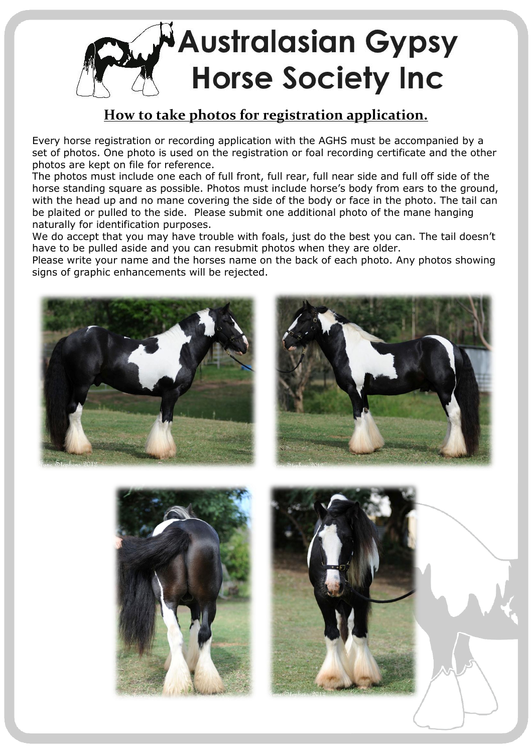

## **How to take photos for registration application.**

Every horse registration or recording application with the AGHS must be accompanied by a set of photos. One photo is used on the registration or foal recording certificate and the other photos are kept on file for reference.

The photos must include one each of full front, full rear, full near side and full off side of the horse standing square as possible. Photos must include horse's body from ears to the ground, with the head up and no mane covering the side of the body or face in the photo. The tail can be plaited or pulled to the side. Please submit one additional photo of the mane hanging naturally for identification purposes.

We do accept that you may have trouble with foals, just do the best you can. The tail doesn't have to be pulled aside and you can resubmit photos when they are older.

Please write your name and the horses name on the back of each photo. Any photos showing signs of graphic enhancements will be rejected.